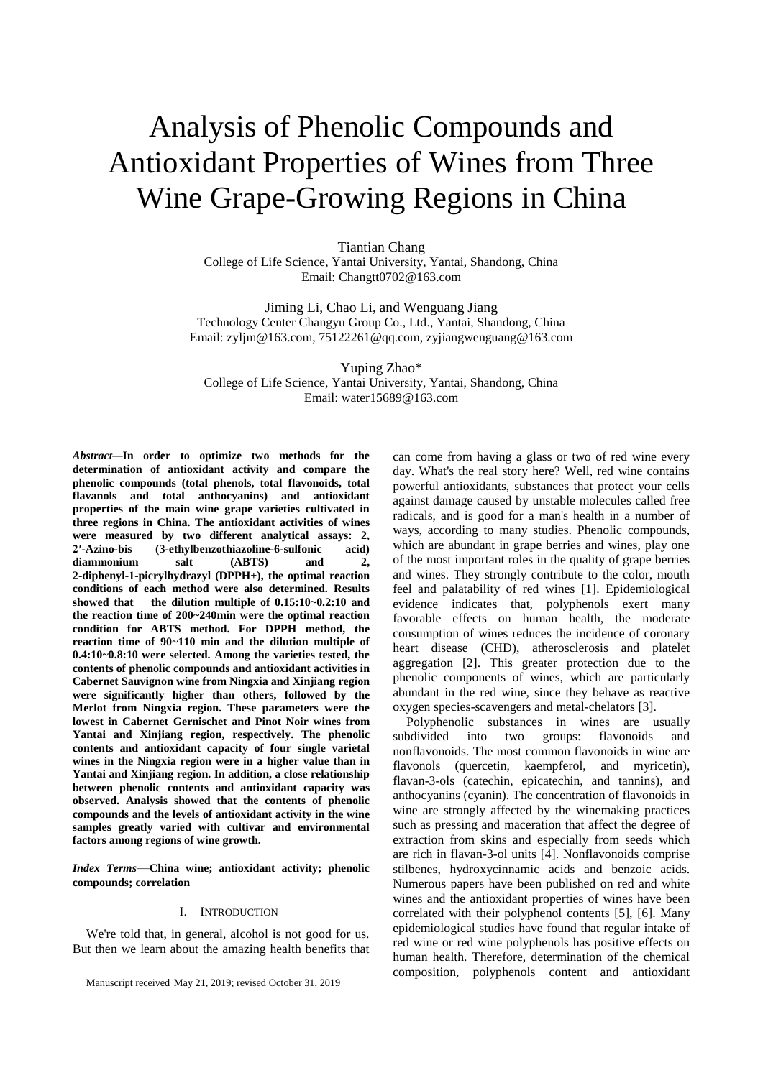# Analysis of Phenolic Compounds and Antioxidant Properties of Wines from Three Wine Grape-Growing Regions in China

Tiantian Chang College of Life Science, Yantai University, Yantai, Shandong, China Email: Changtt0702@163.com

Jiming Li, Chao Li, and Wenguang Jiang Technology Center Changyu Group Co., Ltd., Yantai, Shandong, China Email: zyljm@163.com, 75122261@qq.com, zyjiangwenguang@163.com

Yuping Zhao\* College of Life Science, Yantai University, Yantai, Shandong, China Email: [water15689@163.com](mailto:water15689@163.com)

*Abstract—***In order to optimize two methods for the determination of antioxidant activity and compare the phenolic compounds (total phenols, total flavonoids, total flavanols and total anthocyanins) and antioxidant properties of the main wine grape varieties cultivated in three regions in China. The antioxidant activities of wines were measured by two different analytical assays: 2, 2′-Azino-bis (3-ethylbenzothiazoline-6-sulfonic acid) diammonium salt (ABTS) and 2, 2-diphenyl-1-picrylhydrazyl (DPPH+), the optimal reaction conditions of each method were also determined. Results showed that the dilution multiple of 0.15:10~0.2:10 and the reaction time of 200~240min were the optimal reaction condition for ABTS method. For DPPH method, the reaction time of 90~110 min and the dilution multiple of 0.4:10~0.8:10 were selected. Among the varieties tested, the contents of phenolic compounds and antioxidant activities in Cabernet Sauvignon wine from Ningxia and Xinjiang region were significantly higher than others, followed by the Merlot from Ningxia region. These parameters were the lowest in Cabernet Gernischet and Pinot Noir wines from Yantai and Xinjiang region, respectively. The phenolic contents and antioxidant capacity of four single varietal wines in the Ningxia region were in a higher value than in Yantai and Xinjiang region. In addition, a close relationship between phenolic contents and antioxidant capacity was observed. Analysis showed that the contents of phenolic compounds and the levels of antioxidant activity in the wine samples greatly varied with cultivar and environmental factors among regions of wine growth.**

*Index Terms*—**China wine; antioxidant activity; phenolic compounds; correlation**

#### I. INTRODUCTION

We're told that, in general, alcohol is not good for us. But then we learn about the amazing health benefits that

1

can come from having a glass or two of red wine every day. What's the real story here? Well, red wine contains powerful antioxidants, substances that protect your cells against damage caused by unstable molecules called free radicals, and is good for a man's health in a number of ways, according to many studies. Phenolic compounds, which are abundant in grape berries and wines, play one of the most important roles in the quality of grape berries and wines. They strongly contribute to the color, mouth feel and palatability of red wines [1]. Epidemiological evidence indicates that, polyphenols exert many favorable effects on human health, the moderate consumption of wines reduces the incidence of coronary heart disease (CHD), atherosclerosis and platelet aggregation [2]. This greater protection due to the phenolic components of wines, which are particularly abundant in the red wine, since they behave as reactive oxygen species-scavengers and metal-chelators [3].

Polyphenolic substances in wines are usually subdivided into two groups: flavonoids and nonflavonoids. The most common flavonoids in wine are flavonols (quercetin, kaempferol, and myricetin), flavan-3-ols (catechin, epicatechin, and tannins), and anthocyanins (cyanin). The concentration of flavonoids in wine are strongly affected by the winemaking practices such as pressing and maceration that affect the degree of extraction from skins and especially from seeds which are rich in flavan-3-ol units [4]. Nonflavonoids comprise stilbenes, hydroxycinnamic acids and benzoic acids. Numerous papers have been published on red and white wines and the antioxidant properties of wines have been correlated with their polyphenol contents [5], [6]. Many epidemiological studies have found that regular intake of red wine or red wine polyphenols has positive effects on human health. Therefore, determination of the chemical composition, polyphenols content and antioxidant

Manuscript received May 21, 2019; revised October 31, 2019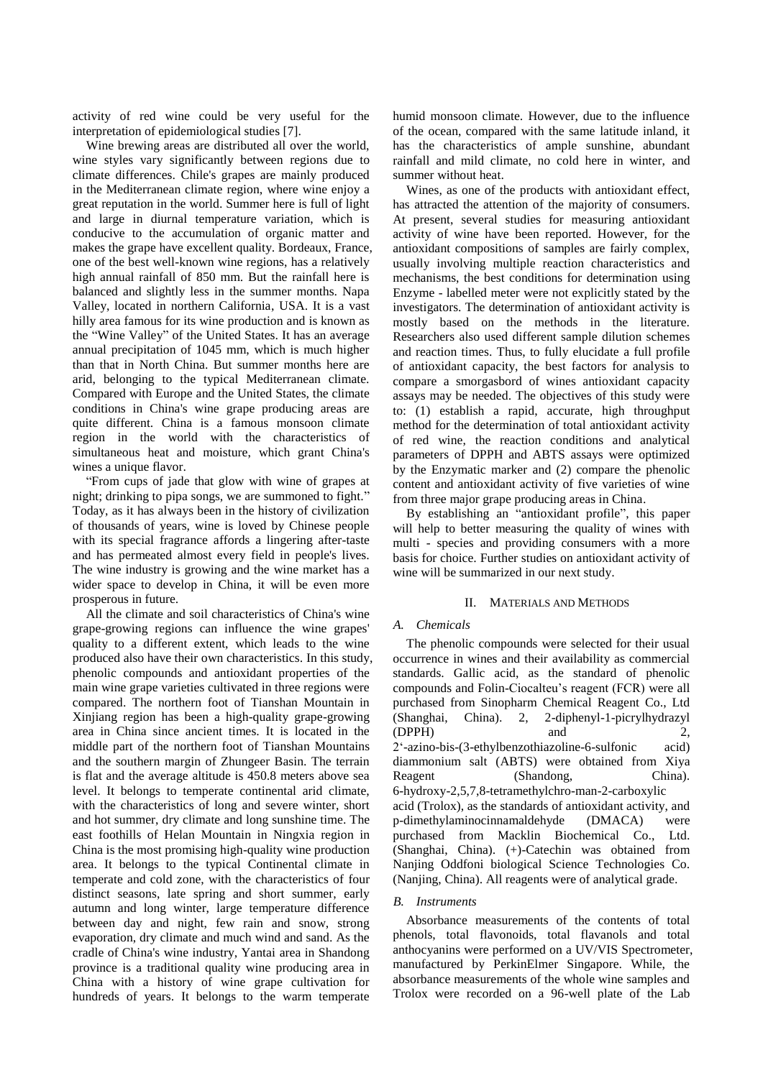activity of red wine could be very useful for the interpretation of epidemiological studies [7].

Wine brewing areas are distributed all over the world, wine styles vary significantly between regions due to climate differences. Chile's grapes are mainly produced in the Mediterranean climate region, where wine enjoy a great reputation in the world. Summer here is full of light and large in diurnal temperature variation, which is conducive to the accumulation of organic matter and makes the grape have excellent quality. Bordeaux, France, one of the best well-known wine regions, has a relatively high annual rainfall of 850 mm. But the rainfall here is balanced and slightly less in the summer months. Napa Valley, located in northern California, USA. It is a vast hilly area famous for its wine production and is known as the "Wine Valley" of the United States. It has an average annual precipitation of 1045 mm, which is much higher than that in North China. But summer months here are arid, belonging to the typical Mediterranean climate. Compared with Europe and the United States, the climate conditions in China's wine grape producing areas are quite different. China is a famous monsoon climate region in the world with the characteristics of simultaneous heat and moisture, which grant China's wines a unique flavor.

"From cups of jade that glow with wine of grapes at night; drinking to pipa songs, we are summoned to fight." Today, as it has always been in the history of civilization of thousands of years, wine is loved by Chinese people with its special fragrance affords a lingering after-taste and has permeated almost every field in people's lives. The wine industry is growing and the wine market has a wider space to develop in China, it will be even more prosperous in future.

All the climate and soil characteristics of China's wine grape-growing regions can influence the wine grapes' quality to a different extent, which leads to the wine produced also have their own characteristics. In this study, phenolic compounds and antioxidant properties of the main wine grape varieties cultivated in three regions were compared. The northern foot of Tianshan Mountain in Xinjiang region has been a high-quality grape-growing area in China since ancient times. It is located in the middle part of the northern foot of Tianshan Mountains and the southern margin of Zhungeer Basin. The terrain is flat and the average altitude is 450.8 meters above sea level. It belongs to temperate continental arid climate, with the characteristics of long and severe winter, short and hot summer, dry climate and long sunshine time. The east foothills of Helan Mountain in Ningxia region in China is the most promising high-quality wine production area. It belongs to the typical Continental climate in temperate and cold zone, with the characteristics of four distinct seasons, late spring and short summer, early autumn and long winter, large temperature difference between day and night, few rain and snow, strong evaporation, dry climate and much wind and sand. As the cradle of China's wine industry, Yantai area in Shandong province is a traditional quality wine producing area in China with a history of wine grape cultivation for hundreds of years. It belongs to the warm temperate

humid monsoon climate. However, due to the influence of the ocean, compared with the same latitude inland, it has the characteristics of ample sunshine, abundant rainfall and mild climate, no cold here in winter, and summer without heat.

Wines, as one of the products with antioxidant effect, has attracted the attention of the majority of consumers. At present, several studies for measuring antioxidant activity of wine have been reported. However, for the antioxidant compositions of samples are fairly complex, usually involving multiple reaction characteristics and mechanisms, the best conditions for determination using Enzyme - labelled meter were not explicitly stated by the investigators. The determination of antioxidant activity is mostly based on the methods in the literature. Researchers also used different sample dilution schemes and reaction times. Thus, to fully elucidate a full profile of antioxidant capacity, the best factors for analysis to compare a smorgasbord of wines antioxidant capacity assays may be needed. The objectives of this study were to: (1) establish a rapid, accurate, high throughput method for the determination of total antioxidant activity of red wine, the reaction conditions and analytical parameters of DPPH and ABTS assays were optimized by the Enzymatic marker and (2) compare the phenolic content and antioxidant activity of five varieties of wine from three major grape producing areas in China.

By establishing an "antioxidant profile", this paper will help to better measuring the quality of wines with multi - species and providing consumers with a more basis for choice. Further studies on antioxidant activity of wine will be summarized in our next study.

# II. MATERIALS AND METHODS

# *A. Chemicals*

The phenolic compounds were selected for their usual occurrence in wines and their availability as commercial standards. Gallic acid, as the standard of phenolic compounds and Folin-Ciocalteu's reagent (FCR) were all purchased from Sinopharm Chemical Reagent Co., Ltd (Shanghai, China). 2, 2-diphenyl-1-picrylhydrazyl (DPPH) and 2, 2'-azino-bis-(3-ethylbenzothiazoline-6-sulfonic acid) diammonium salt (ABTS) were obtained from Xiya Reagent (Shandong, China). 6-hydroxy-2,5,7,8-tetramethylchro-man-2-carboxylic acid (Trolox), as the standards of antioxidant activity, and p-dimethylaminocinnamaldehyde (DMACA) were purchased from Macklin Biochemical Co., Ltd. (Shanghai, China). (+)-Catechin was obtained from Nanjing Oddfoni biological Science Technologies Co. (Nanjing, China). All reagents were of analytical grade.

# *B. Instruments*

Absorbance measurements of the contents of total phenols, total flavonoids, total flavanols and total anthocyanins were performed on a UV/VIS Spectrometer, manufactured by PerkinElmer Singapore. While, the absorbance measurements of the whole wine samples and Trolox were recorded on a 96-well plate of the Lab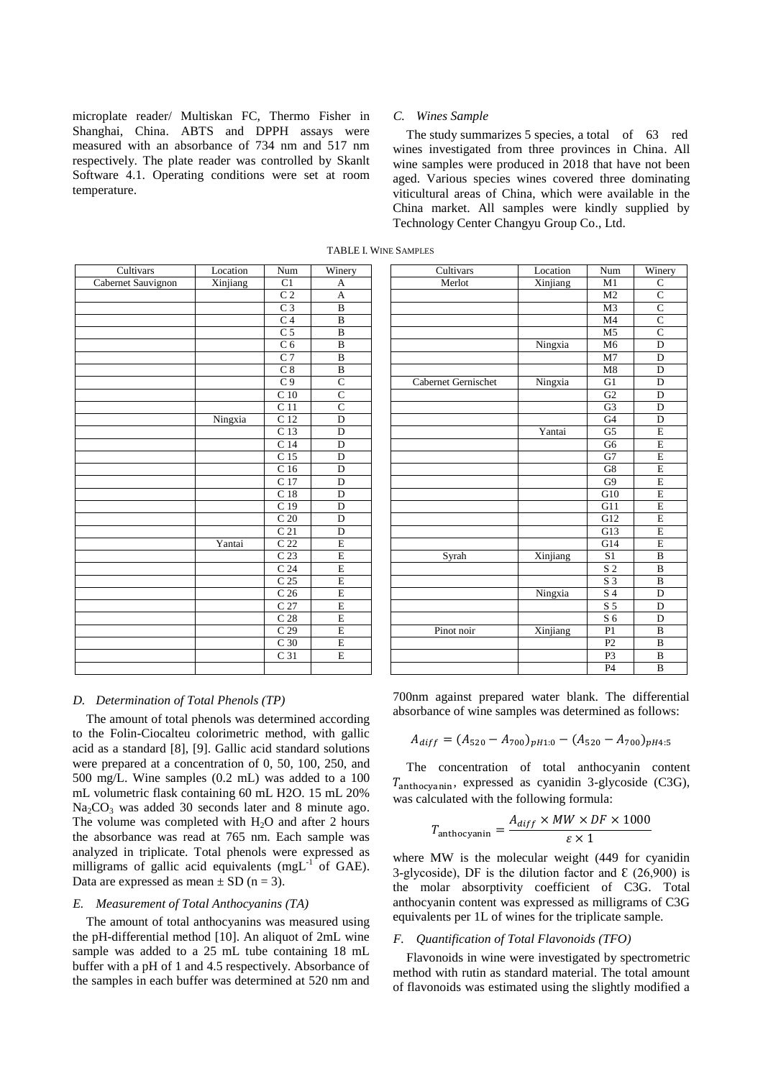microplate reader/ Multiskan FC, Thermo Fisher in Shanghai, China. ABTS and DPPH assays were measured with an absorbance of 734 nm and 517 nm respectively. The plate reader was controlled by Skanlt Software 4.1. Operating conditions were set at room temperature.

#### *C. Wines Sample*

The study summarizes 5 species, a total of 63 red wines investigated from three provinces in China. All wine samples were produced in 2018 that have not been aged. Various species wines covered three dominating viticultural areas of China, which were available in the China market. All samples were kindly supplied by Technology Center Changyu Group Co., Ltd.

| Cultivars          | Location | Num               | Winery                  | Cultivars           | Location | Num             | Win            |
|--------------------|----------|-------------------|-------------------------|---------------------|----------|-----------------|----------------|
| Cabernet Sauvignon | Xinjiang | C1                | A                       | Merlot              | Xinjiang | M1              | $\mathsf{C}$   |
|                    |          | $\overline{C}2$   | A                       |                     |          | M <sub>2</sub>  | $\mathsf{C}$   |
|                    |          | C <sub>3</sub>    | $\, {\bf B}$            |                     |          | M <sub>3</sub>  | $\mathsf{C}$   |
|                    |          | C <sub>4</sub>    | $\, {\bf B}$            |                     |          | M <sub>4</sub>  | $\mathsf{C}$   |
|                    |          | $\overline{C}$ 5  | $\overline{B}$          |                     |          | M <sub>5</sub>  | $\mathsf{C}$   |
|                    |          | C <sub>6</sub>    | $\bf{B}$                |                     | Ningxia  | M <sub>6</sub>  | $\Gamma$       |
|                    |          | C <sub>7</sub>    | $\bf{B}$                |                     |          | M <sub>7</sub>  | $\Gamma$       |
|                    |          | C <sub>8</sub>    | $\, {\bf B}$            |                     |          | M8              | $\Gamma$       |
|                    |          | C <sub>9</sub>    | $\overline{C}$          | Cabernet Gernischet | Ningxia  | G1              | $\Gamma$       |
|                    |          | $\overline{C}$ 10 | $\overline{C}$          |                     |          | $\overline{G2}$ | $\Gamma$       |
|                    |          | C <sub>11</sub>   | $\overline{C}$          |                     |          | G <sub>3</sub>  | $\Gamma$       |
|                    | Ningxia  | $\overline{C}$ 12 | $\overline{D}$          |                     |          | $\overline{G4}$ | $\overline{L}$ |
|                    |          | $\overline{C}$ 13 | $\overline{D}$          |                     | Yantai   | $\overline{G5}$ | E              |
|                    |          | C <sub>14</sub>   | D                       |                     |          | G <sub>6</sub>  | E              |
|                    |          | C <sub>15</sub>   | D                       |                     |          | G7              | E              |
|                    |          | C <sub>16</sub>   | D                       |                     |          | G8              | E              |
|                    |          | C 17              | D                       |                     |          | G <sub>9</sub>  | E              |
|                    |          | C <sub>18</sub>   | D                       |                     |          | G10             | E              |
|                    |          | C <sub>19</sub>   | D                       |                     |          | G11             | E              |
|                    |          | C <sub>20</sub>   | D                       |                     |          | G12             | $\mathbf{E}$   |
|                    |          | $\overline{C21}$  | D                       |                     |          | G13             | E              |
|                    | Yantai   | C <sub>22</sub>   | $\overline{E}$          |                     |          | G14             | E              |
|                    |          | C <sub>23</sub>   | $\mathbf E$             | Syrah               | Xinjiang | S <sub>1</sub>  | B              |
|                    |          | C <sub>24</sub>   | E                       |                     |          | S <sub>2</sub>  | B              |
|                    |          | C <sub>25</sub>   | $\overline{\mathrm{E}}$ |                     |          | S <sub>3</sub>  | $\mathbf B$    |
|                    |          | C <sub>26</sub>   | $\overline{\mathrm{E}}$ |                     | Ningxia  | S 4             | $\Gamma$       |
|                    |          | C <sub>27</sub>   | $\overline{E}$          |                     |          | S <sub>5</sub>  | $\Gamma$       |
|                    |          | C <sub>28</sub>   | $\overline{\mathrm{E}}$ |                     |          | S <sub>6</sub>  | $\Gamma$       |
|                    |          | C <sub>29</sub>   | $\overline{\mathrm{E}}$ | Pinot noir          | Xinjiang | P1              | $\overline{B}$ |
|                    |          | C <sub>30</sub>   | $\mathbf E$             |                     |          | P <sub>2</sub>  | $\mathbf B$    |
|                    |          | $\overline{C}31$  | $\overline{E}$          |                     |          | P <sub>3</sub>  | B              |
|                    |          |                   |                         |                     |          | P <sub>4</sub>  | B              |

TABLE I. WINE SAMPLES

# *D. Determination of Total Phenols (TP)*

The amount of total phenols was determined according to the Folin-Ciocalteu colorimetric method, with gallic acid as a standard [8], [9]. Gallic acid standard solutions were prepared at a concentration of 0, 50, 100, 250, and 500 mg/L. Wine samples (0.2 mL) was added to a 100 mL volumetric flask containing 60 mL H2O. 15 mL 20%  $Na<sub>2</sub>CO<sub>3</sub>$  was added 30 seconds later and 8 minute ago. The volume was completed with  $H_2O$  and after 2 hours the absorbance was read at 765 nm. Each sample was analyzed in triplicate. Total phenols were expressed as milligrams of gallic acid equivalents (mgL $^{-1}$  of GAE). Data are expressed as mean  $\pm$  SD (n = 3).

# *E. Measurement of Total Anthocyanins (TA)*

The amount of total anthocyanins was measured using the pH-differential method [10]. An aliquot of 2mL wine sample was added to a 25 mL tube containing 18 mL buffer with a pH of 1 and 4.5 respectively. Absorbance of the samples in each buffer was determined at 520 nm and

| Cultivars     | Location | Num               | Winery                  | Cultivars           | Location | Num              | Winery                  |
|---------------|----------|-------------------|-------------------------|---------------------|----------|------------------|-------------------------|
| met Sauvignon | Xinjiang | C1                | A                       | Merlot              | Xinjiang | M1               | $\mathsf{C}$            |
|               |          | $\overline{C}2$   | A                       |                     |          | M <sub>2</sub>   | $\overline{C}$          |
|               |          | C <sub>3</sub>    | $\overline{B}$          |                     |          | M <sub>3</sub>   | $\overline{C}$          |
|               |          | C <sub>4</sub>    | $\, {\bf B}$            |                     |          | M <sub>4</sub>   | $\overline{C}$          |
|               |          | C <sub>5</sub>    | $\bf{B}$                |                     |          | M <sub>5</sub>   | $\overline{C}$          |
|               |          | C <sub>6</sub>    | $\bf{B}$                |                     | Ningxia  | M <sub>6</sub>   | $\overline{D}$          |
|               |          | C <sub>7</sub>    | $\overline{\mathbf{B}}$ |                     |          | M7               | $\overline{D}$          |
|               |          | C <sub>8</sub>    | $\overline{\mathbf{B}}$ |                     |          | M8               | $\mathbf D$             |
|               |          | C <sub>9</sub>    | $\overline{C}$          | Cabernet Gernischet | Ningxia  | G1               | D                       |
|               |          | C <sub>10</sub>   | $\overline{C}$          |                     |          | G2               | $\overline{D}$          |
|               |          | $\overline{C}$ 11 | $\overline{C}$          |                     |          | G <sub>3</sub>   | D                       |
|               | Ningxia  | C <sub>12</sub>   | $\overline{D}$          |                     |          | G <sub>4</sub>   | $\overline{D}$          |
|               |          | $\overline{C}$ 13 | D                       |                     | Yantai   | G <sub>5</sub>   | $\overline{E}$          |
|               |          | $\overline{C}$ 14 | $\overline{D}$          |                     |          | G <sub>6</sub>   | $\overline{E}$          |
|               |          | C <sub>15</sub>   | D                       |                     |          | G7               | $\overline{E}$          |
|               |          | C <sub>16</sub>   | D                       |                     |          | G8               | $\overline{\mathrm{E}}$ |
|               |          | C 17              | D                       |                     |          | G <sub>9</sub>   | $\overline{E}$          |
|               |          | C <sub>18</sub>   | D                       |                     |          | G10              | $\overline{E}$          |
|               |          | C <sub>19</sub>   | $\overline{D}$          |                     |          | $\overline{G11}$ | $\overline{E}$          |
|               |          | C <sub>20</sub>   | $\overline{D}$          |                     |          | G12              | $\overline{E}$          |
|               |          | $\overline{C}$ 21 | $\overline{D}$          |                     |          | G13              | $\overline{E}$          |
|               | Yantai   | $\overline{C}$ 22 | $\overline{E}$          |                     |          | G14              | $\overline{E}$          |
|               |          | C <sub>23</sub>   | $\overline{E}$          | Syrah               | Xinjiang | S <sub>1</sub>   | $\bf{B}$                |
|               |          | C <sub>24</sub>   | $\overline{E}$          |                     |          | S <sub>2</sub>   | $\overline{B}$          |
|               |          | C <sub>25</sub>   | $\overline{E}$          |                     |          | S <sub>3</sub>   | $\overline{B}$          |
|               |          | C <sub>26</sub>   | $\overline{E}$          |                     | Ningxia  | S <sub>4</sub>   | $\mathbf D$             |
|               |          | C 27              | E                       |                     |          | S <sub>5</sub>   | D                       |
|               |          | C <sub>28</sub>   | $\overline{E}$          |                     |          | S <sub>6</sub>   | D                       |
|               |          | C <sub>29</sub>   | $\overline{E}$          | Pinot noir          | Xinjiang | P1               | $\overline{B}$          |
|               |          | C <sub>30</sub>   | $\overline{E}$          |                     |          | P <sub>2</sub>   | $\bf{B}$                |
|               |          | C <sub>31</sub>   | $\overline{E}$          |                     |          | P <sub>3</sub>   | $\bf{B}$                |
|               |          |                   |                         |                     |          | P <sub>4</sub>   | $\bf{B}$                |

700nm against prepared water blank. The differential absorbance of wine samples was determined as follows:

$$
A_{diff} = (A_{520} - A_{700})_{pH1:0} - (A_{520} - A_{700})_{pH4:5}
$$

The concentration of total anthocyanin content  $T_{\text{anthocyanin}}$ , expressed as cyanidin 3-glycoside (C3G), was calculated with the following formula:

$$
T_{\text{anthocyanin}} = \frac{A_{diff} \times MW \times DF \times 1000}{\varepsilon \times 1}
$$

where MW is the molecular weight (449 for cyanidin 3-glycoside), DF is the dilution factor and  $\mathcal{E}$  (26,900) is the molar absorptivity coefficient of C3G. Total anthocyanin content was expressed as milligrams of C3G equivalents per 1L of wines for the triplicate sample.

#### *F. Quantification of Total Flavonoids (TFO)*

Flavonoids in wine were investigated by spectrometric method with rutin as standard material. The total amount of flavonoids was estimated using the slightly modified a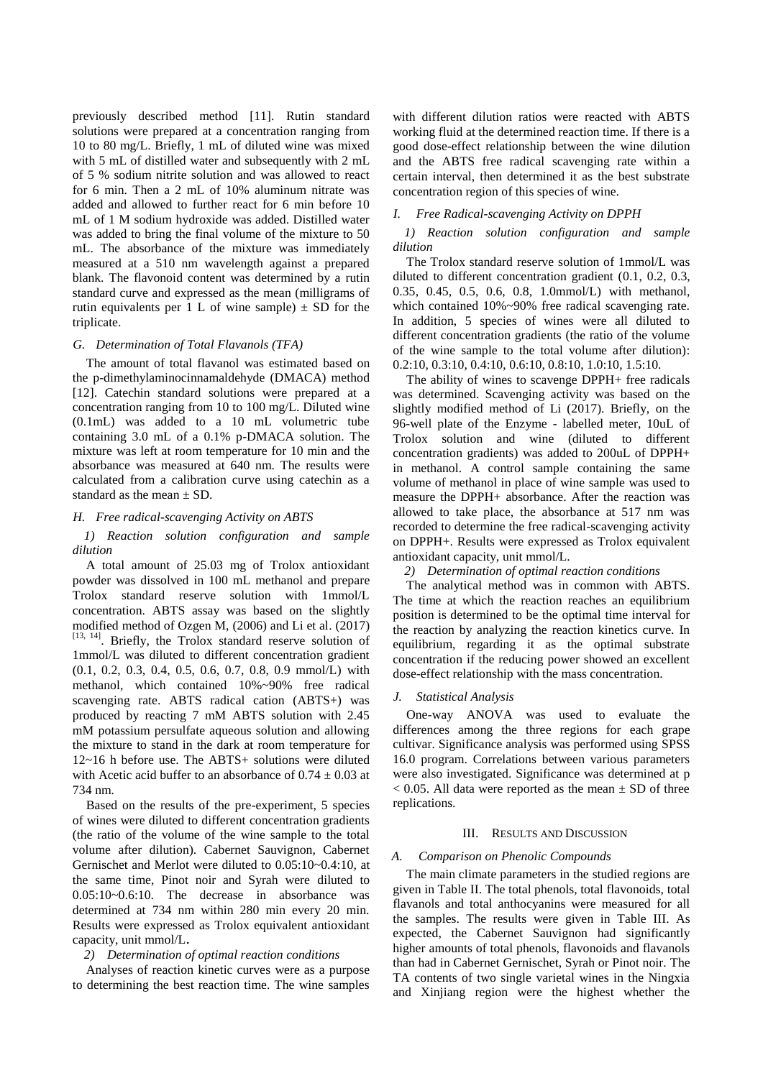previously described method [11]. Rutin standard solutions were prepared at a concentration ranging from 10 to 80 mg/L. Briefly, 1 mL of diluted wine was mixed with 5 mL of distilled water and subsequently with 2 mL of 5 % sodium nitrite solution and was allowed to react for 6 min. Then a 2 mL of 10% aluminum nitrate was added and allowed to further react for 6 min before 10 mL of 1 M sodium hydroxide was added. Distilled water was added to bring the final volume of the mixture to 50 mL. The absorbance of the mixture was immediately measured at a 510 nm wavelength against a prepared blank. The flavonoid content was determined by a rutin standard curve and expressed as the mean (milligrams of rutin equivalents per 1 L of wine sample)  $\pm$  SD for the triplicate.

# *G. Determination of Total Flavanols (TFA)*

The amount of total flavanol was estimated based on the p-dimethylaminocinnamaldehyde (DMACA) method [12]. Catechin standard solutions were prepared at a concentration ranging from 10 to 100 mg/L. Diluted wine (0.1mL) was added to a 10 mL volumetric tube containing 3.0 mL of a 0.1% p-DMACA solution. The mixture was left at room temperature for 10 min and the absorbance was measured at 640 nm. The results were calculated from a calibration curve using catechin as a standard as the mean  $\pm$  SD.

# *H. Free radical-scavenging Activity on ABTS*

*1) Reaction solution configuration and sample dilution*

A total amount of 25.03 mg of Trolox antioxidant powder was dissolved in 100 mL methanol and prepare Trolox standard reserve solution with 1mmol/L concentration. ABTS assay was based on the slightly modified method of Ozgen M, (2006) and Li et al. (2017) [13, 14]. Briefly, the Trolox standard reserve solution of 1mmol/L was diluted to different concentration gradient (0.1, 0.2, 0.3, 0.4, 0.5, 0.6, 0.7, 0.8, 0.9 mmol/L) with methanol, which contained 10%~90% free radical scavenging rate. ABTS radical cation (ABTS+) was produced by reacting 7 mM ABTS solution with 2.45 mM potassium persulfate aqueous solution and allowing the mixture to stand in the dark at room temperature for 12~16 h before use. The ABTS+ solutions were diluted with Acetic acid buffer to an absorbance of  $0.74 \pm 0.03$  at 734 nm.

Based on the results of the pre-experiment, 5 species of wines were diluted to different concentration gradients (the ratio of the volume of the wine sample to the total volume after dilution). Cabernet Sauvignon, Cabernet Gernischet and Merlot were diluted to 0.05:10~0.4:10, at the same time, Pinot noir and Syrah were diluted to 0.05:10~0.6:10. The decrease in absorbance was determined at 734 nm within 280 min every 20 min. Results were expressed as Trolox equivalent antioxidant capacity, unit mmol/L.

#### *2) Determination of optimal reaction conditions*

Analyses of reaction kinetic curves were as a purpose to determining the best reaction time. The wine samples

with different dilution ratios were reacted with ABTS working fluid at the determined reaction time. If there is a good dose-effect relationship between the wine dilution and the ABTS free radical scavenging rate within a certain interval, then determined it as the best substrate concentration region of this species of wine.

#### *I. Free Radical-scavenging Activity on DPPH*

*1) Reaction solution configuration and sample dilution*

The Trolox standard reserve solution of 1mmol/L was diluted to different concentration gradient (0.1, 0.2, 0.3, 0.35, 0.45, 0.5, 0.6, 0.8, 1.0mmol/L) with methanol, which contained 10%~90% free radical scavenging rate. In addition, 5 species of wines were all diluted to different concentration gradients (the ratio of the volume of the wine sample to the total volume after dilution): 0.2:10, 0.3:10, 0.4:10, 0.6:10, 0.8:10, 1.0:10, 1.5:10.

The ability of wines to scavenge DPPH+ free radicals was determined. Scavenging activity was based on the slightly modified method of Li (2017). Briefly, on the 96-well plate of the Enzyme - labelled meter, 10uL of Trolox solution and wine (diluted to different concentration gradients) was added to 200uL of DPPH+ in methanol. A control sample containing the same volume of methanol in place of wine sample was used to measure the DPPH+ absorbance. After the reaction was allowed to take place, the absorbance at 517 nm was recorded to determine the free radical-scavenging activity on DPPH+. Results were expressed as Trolox equivalent antioxidant capacity, unit mmol/L.

*2) Determination of optimal reaction conditions*

The analytical method was in common with ABTS. The time at which the reaction reaches an equilibrium position is determined to be the optimal time interval for the reaction by analyzing the reaction kinetics curve. In equilibrium, regarding it as the optimal substrate concentration if the reducing power showed an excellent dose-effect relationship with the mass concentration.

### *J. Statistical Analysis*

One-way ANOVA was used to evaluate the differences among the three regions for each grape cultivar. Significance analysis was performed using SPSS 16.0 program. Correlations between various parameters were also investigated. Significance was determined at p  $< 0.05$ . All data were reported as the mean  $\pm$  SD of three replications.

# III. RESULTS AND DISCUSSION

# *A. Comparison on Phenolic Compounds*

The main climate parameters in the studied regions are given in Table II. The total phenols, total flavonoids, total flavanols and total anthocyanins were measured for all the samples. The results were given in Table III. As expected, the Cabernet Sauvignon had significantly higher amounts of total phenols, flavonoids and flavanols than had in Cabernet Gernischet, Syrah or Pinot noir. The TA contents of two single varietal wines in the Ningxia and Xinjiang region were the highest whether the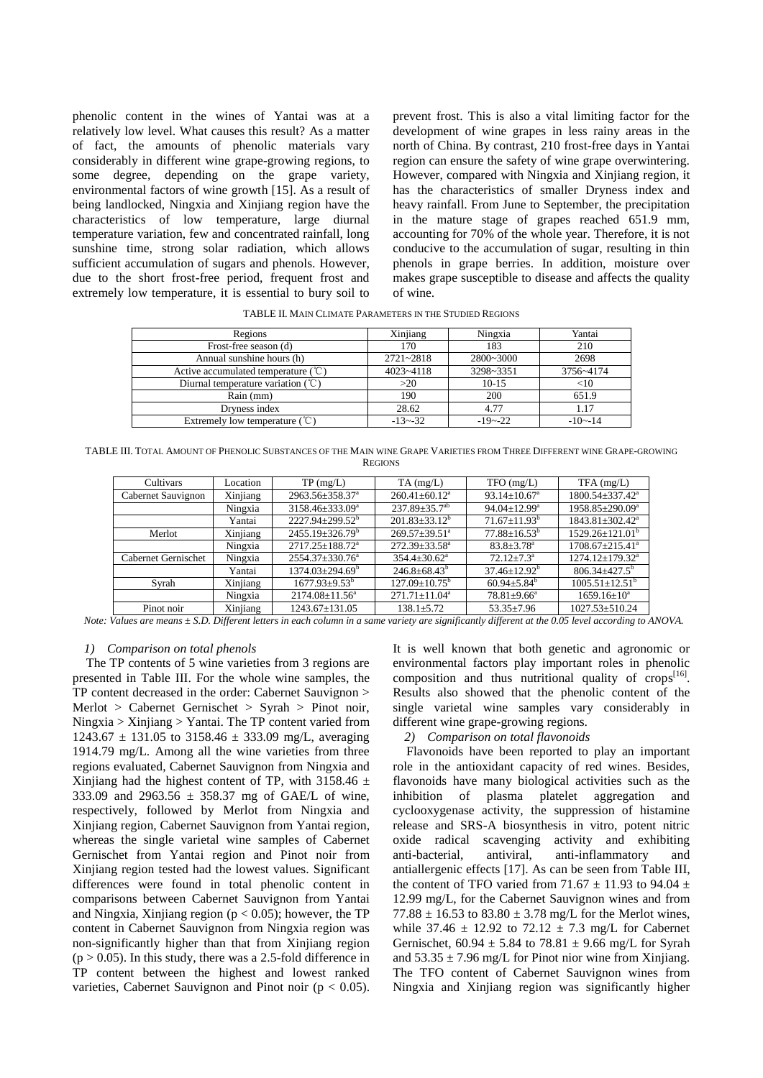phenolic content in the wines of Yantai was at a relatively low level. What causes this result? As a matter of fact, the amounts of phenolic materials vary considerably in different wine grape-growing regions, to some degree, depending on the grape variety, environmental factors of wine growth [15]. As a result of being landlocked, Ningxia and Xinjiang region have the characteristics of low temperature, large diurnal temperature variation, few and concentrated rainfall, long sunshine time, strong solar radiation, which allows sufficient accumulation of sugars and phenols. However, due to the short frost-free period, frequent frost and extremely low temperature, it is essential to bury soil to prevent frost. This is also a vital limiting factor for the development of wine grapes in less rainy areas in the north of China. By contrast, 210 frost-free days in Yantai region can ensure the safety of wine grape overwintering. However, compared with Ningxia and Xinjiang region, it has the characteristics of smaller Dryness index and heavy rainfall. From June to September, the precipitation in the mature stage of grapes reached 651.9 mm, accounting for 70% of the whole year. Therefore, it is not conducive to the accumulation of sugar, resulting in thin phenols in grape berries. In addition, moisture over makes grape susceptible to disease and affects the quality of wine.

TABLE II. MAIN CLIMATE PARAMETERS IN THE STUDIED REGIONS

| Regions                                                 | Xinjiang      | Ningxia     | Yantai      |
|---------------------------------------------------------|---------------|-------------|-------------|
| Frost-free season (d)                                   | 170           | 183         | 210         |
| Annual sunshine hours (h)                               | $2721 - 2818$ | 2800~3000   | 2698        |
| Active accumulated temperature $({}^{\circ}\mathbb{C})$ | $4023 - 4118$ | 3298~3351   | 3756~4174   |
| Diurnal temperature variation $({\cal C})$              | >20           | $10-15$     | $<$ 10      |
| Rain (mm)                                               | 190           | 200         | 651.9       |
| Dryness index                                           | 28.62         | 4.77        | 1.17        |
| Extremely low temperature $({}^{\circ}\mathbb{C})$      | $-13 - 32$    | $-19 - -22$ | $-10 - -14$ |

TABLE III. TOTAL AMOUNT OF PHENOLIC SUBSTANCES OF THE MAIN WINE GRAPE VARIETIES FROM THREE DIFFERENT WINE GRAPE-GROWING **REGIONS** 

| Cultivars           | Location                      | TP(mg/L)                     | $TA$ (mg/L)                     | $TFO$ (mg/L)                   | $TFA$ (mg/L)                      |
|---------------------|-------------------------------|------------------------------|---------------------------------|--------------------------------|-----------------------------------|
| Cabernet Sauvignon  | $\overline{\text{X}}$ injiang | 2963.56±358.37 <sup>a</sup>  | $260.41 \pm 60.12$ <sup>a</sup> | $93.14 \pm 10.67$ <sup>a</sup> | $1800.54 \pm 337.42^{\circ}$      |
|                     | Ningxia                       | 3158.46±333.09 <sup>a</sup>  | $237.89 \pm 35.7$ <sup>ab</sup> | $94.04 \pm 12.99^{\circ}$      | 1958.85±290.09 <sup>a</sup>       |
|                     | Yantai                        | $2227.94 \pm 299.52^{\circ}$ | $201.83 \pm 33.12^b$            | $71.67 \pm 11.93^{\rm b}$      | 1843.81±302.42 <sup>a</sup>       |
| Merlot              | Xinjiang                      | $2455.19 \pm 326.79^b$       | $269.57 \pm 39.51$ <sup>a</sup> | $77.88 \pm 16.53^{\rm b}$      | 1529.26±121.01 <sup>b</sup>       |
|                     | Ningxia                       | $2717.25 \pm 188.72^a$       | $272.39 \pm 33.58^{\circ}$      | $83.8 \pm 3.78$ <sup>a</sup>   | $1708.67 \pm 215.41$ <sup>a</sup> |
| Cabernet Gernischet | Ningxia                       | $2554.37 \pm 330.76^a$       | $354.4 \pm 30.62^{\circ}$       | $72.12 + 7.3^a$                | $1274.12 \pm 179.32$ <sup>a</sup> |
|                     | Yantai                        | $1374.03 + 294.69^b$         | $246.8 + 68.43^b$               | $37.46 \pm 12.92^{\circ}$      | $806.34 \pm 427.5^{\circ}$        |
| Syrah               | Xinjiang                      | $1677.93 + 9.53^b$           | $127.09 \pm 10.75^{\rm b}$      | $60.94 \pm 5.84^{\circ}$       | $1005.51 \pm 12.51^{\mathrm{b}}$  |
|                     | Ningxia                       | $2174.08 \pm 11.56^a$        | $271.71 \pm 11.04^a$            | $78.81 + 9.66^a$               | $1659.16 \pm 10^a$                |
| Pinot noir          | Xinjiang                      | $1243.67 \pm 131.05$         | $138.1 + 5.72$                  | $53.35 \pm 7.96$               | $1027.53 \pm 510.24$              |

*Note: Values are means ± S.D. Different letters in each column in a same variety are significantly different at the 0.05 level according to ANOVA.*

## *1) Comparison on total phenols*

The TP contents of 5 wine varieties from 3 regions are presented in Table III. For the whole wine samples, the TP content decreased in the order: Cabernet Sauvignon > Merlot > Cabernet Gernischet > Syrah > Pinot noir, Ningxia > Xinjiang > Yantai. The TP content varied from  $1243.67 \pm 131.05$  to  $3158.46 \pm 333.09$  mg/L, averaging 1914.79 mg/L. Among all the wine varieties from three regions evaluated, Cabernet Sauvignon from Ningxia and Xinjiang had the highest content of TP, with 3158.46  $\pm$ 333.09 and 2963.56  $\pm$  358.37 mg of GAE/L of wine, respectively, followed by Merlot from Ningxia and Xinjiang region, Cabernet Sauvignon from Yantai region, whereas the single varietal wine samples of Cabernet Gernischet from Yantai region and Pinot noir from Xinjiang region tested had the lowest values. Significant differences were found in total phenolic content in comparisons between Cabernet Sauvignon from Yantai and Ningxia, Xinjiang region ( $p < 0.05$ ); however, the TP content in Cabernet Sauvignon from Ningxia region was non-significantly higher than that from Xinjiang region  $(p > 0.05)$ . In this study, there was a 2.5-fold difference in TP content between the highest and lowest ranked varieties, Cabernet Sauvignon and Pinot noir ( $p < 0.05$ ).

It is well known that both genetic and agronomic or environmental factors play important roles in phenolic composition and thus nutritional quality of  $\text{crops}^{[16]}$ . Results also showed that the phenolic content of the single varietal wine samples vary considerably in different wine grape-growing regions.

# *2) Comparison on total flavonoids*

Flavonoids have been reported to play an important role in the antioxidant capacity of red wines. Besides, flavonoids have many biological activities such as the inhibition of plasma platelet aggregation and cyclooxygenase activity, the suppression of histamine release and SRS-A biosynthesis in vitro, potent nitric oxide radical scavenging activity and exhibiting anti-bacterial, antiviral, anti-inflammatory and antiallergenic effects [17]. As can be seen from Table III, the content of TFO varied from 71.67  $\pm$  11.93 to 94.04  $\pm$ 12.99 mg/L, for the Cabernet Sauvignon wines and from 77.88  $\pm$  16.53 to 83.80  $\pm$  3.78 mg/L for the Merlot wines, while  $37.46 \pm 12.92$  to  $72.12 \pm 7.3$  mg/L for Cabernet Gernischet,  $60.94 \pm 5.84$  to  $78.81 \pm 9.66$  mg/L for Syrah and  $53.35 \pm 7.96$  mg/L for Pinot nior wine from Xinjiang. The TFO content of Cabernet Sauvignon wines from Ningxia and Xinjiang region was significantly higher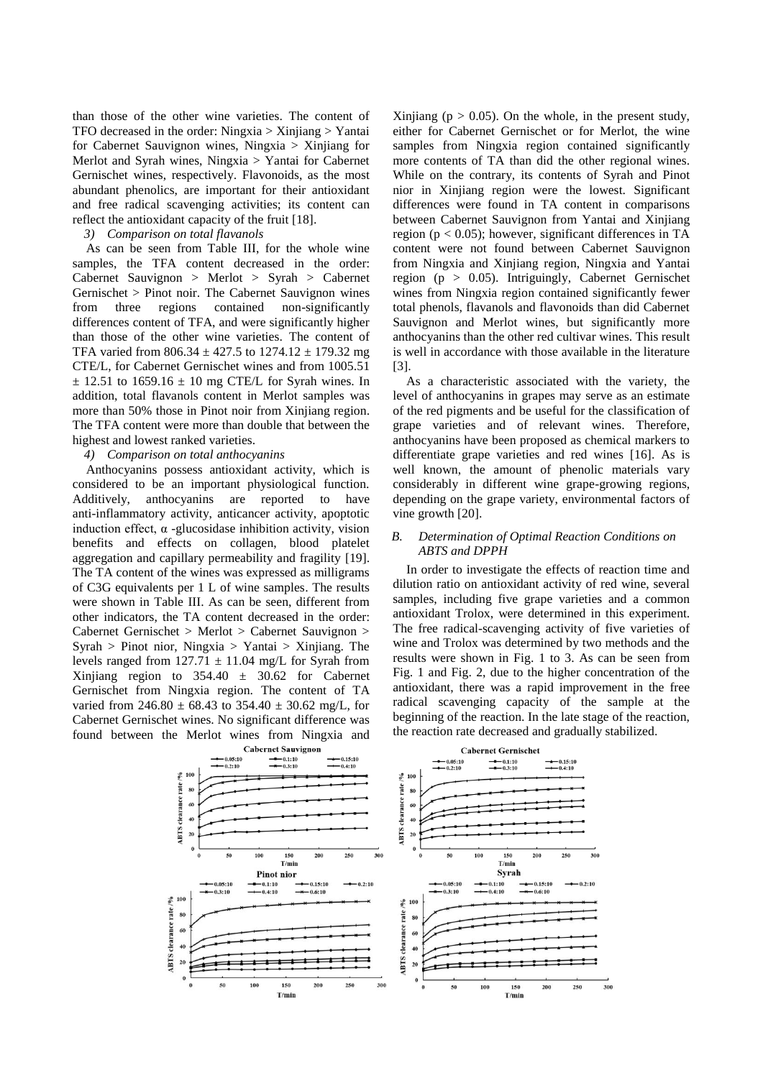than those of the other wine varieties. The content of TFO decreased in the order: Ningxia > Xinjiang > Yantai for Cabernet Sauvignon wines, Ningxia > Xinjiang for Merlot and Syrah wines, Ningxia > Yantai for Cabernet Gernischet wines, respectively. Flavonoids, as the most abundant phenolics, are important for their antioxidant and free radical scavenging activities; its content can reflect the antioxidant capacity of the fruit [18].

#### *3) Comparison on total flavanols*

As can be seen from Table III, for the whole wine samples, the TFA content decreased in the order: Cabernet Sauvignon > Merlot > Syrah > Cabernet Gernischet > Pinot noir. The Cabernet Sauvignon wines from three regions contained non-significantly differences content of TFA, and were significantly higher than those of the other wine varieties. The content of TFA varied from 806.34  $\pm$ 427.5 to 1274.12  $\pm$ 179.32 mg CTE/L, for Cabernet Gernischet wines and from 1005.51  $\pm$  12.51 to 1659.16  $\pm$  10 mg CTE/L for Syrah wines. In addition, total flavanols content in Merlot samples was more than 50% those in Pinot noir from Xinjiang region. The TFA content were more than double that between the highest and lowest ranked varieties.

# *4) Comparison on total anthocyanins*

Anthocyanins possess antioxidant activity, which is considered to be an important physiological function. Additively, anthocyanins are reported to have anti-inflammatory activity, anticancer activity, apoptotic induction effect,  $\alpha$  -glucosidase inhibition activity, vision benefits and effects on collagen, blood platelet aggregation and capillary permeability and fragility [19]. The TA content of the wines was expressed as milligrams of C3G equivalents per 1 L of wine samples. The results were shown in Table III. As can be seen, different from other indicators, the TA content decreased in the order: Cabernet Gernischet > Merlot > Cabernet Sauvignon > Syrah > Pinot nior, Ningxia > Yantai > Xinjiang. The levels ranged from  $127.71 \pm 11.04$  mg/L for Syrah from Xinjiang region to  $354.40 \pm 30.62$  for Cabernet Gernischet from Ningxia region. The content of TA varied from 246.80  $\pm$  68.43 to 354.40  $\pm$  30.62 mg/L, for Cabernet Gernischet wines. No significant difference was found between the Merlot wines from Ningxia and

Xinjiang ( $p > 0.05$ ). On the whole, in the present study, either for Cabernet Gernischet or for Merlot, the wine samples from Ningxia region contained significantly more contents of TA than did the other regional wines. While on the contrary, its contents of Syrah and Pinot nior in Xinjiang region were the lowest. Significant differences were found in TA content in comparisons between Cabernet Sauvignon from Yantai and Xinjiang region ( $p < 0.05$ ); however, significant differences in TA content were not found between Cabernet Sauvignon from Ningxia and Xinjiang region, Ningxia and Yantai region (p > 0.05). Intriguingly, Cabernet Gernischet wines from Ningxia region contained significantly fewer total phenols, flavanols and flavonoids than did Cabernet Sauvignon and Merlot wines, but significantly more anthocyanins than the other red cultivar wines. This result is well in accordance with those available in the literature [3].

As a characteristic associated with the variety, the level of anthocyanins in grapes may serve as an estimate of the red pigments and be useful for the classification of grape varieties and of relevant wines. Therefore, anthocyanins have been proposed as chemical markers to differentiate grape varieties and red wines [16]. As is well known, the amount of phenolic materials vary considerably in different wine grape-growing regions, depending on the grape variety, environmental factors of vine growth [20].

# *B. Determination of Optimal Reaction Conditions on ABTS and DPPH*

In order to investigate the effects of reaction time and dilution ratio on antioxidant activity of red wine, several samples, including five grape varieties and a common antioxidant Trolox, were determined in this experiment. The free radical-scavenging activity of five varieties of wine and Trolox was determined by two methods and the results were shown in Fig. 1 to 3. As can be seen from Fig. 1 and Fig. 2, due to the higher concentration of the antioxidant, there was a rapid improvement in the free radical scavenging capacity of the sample at the beginning of the reaction. In the late stage of the reaction, the reaction rate decreased and gradually stabilized.

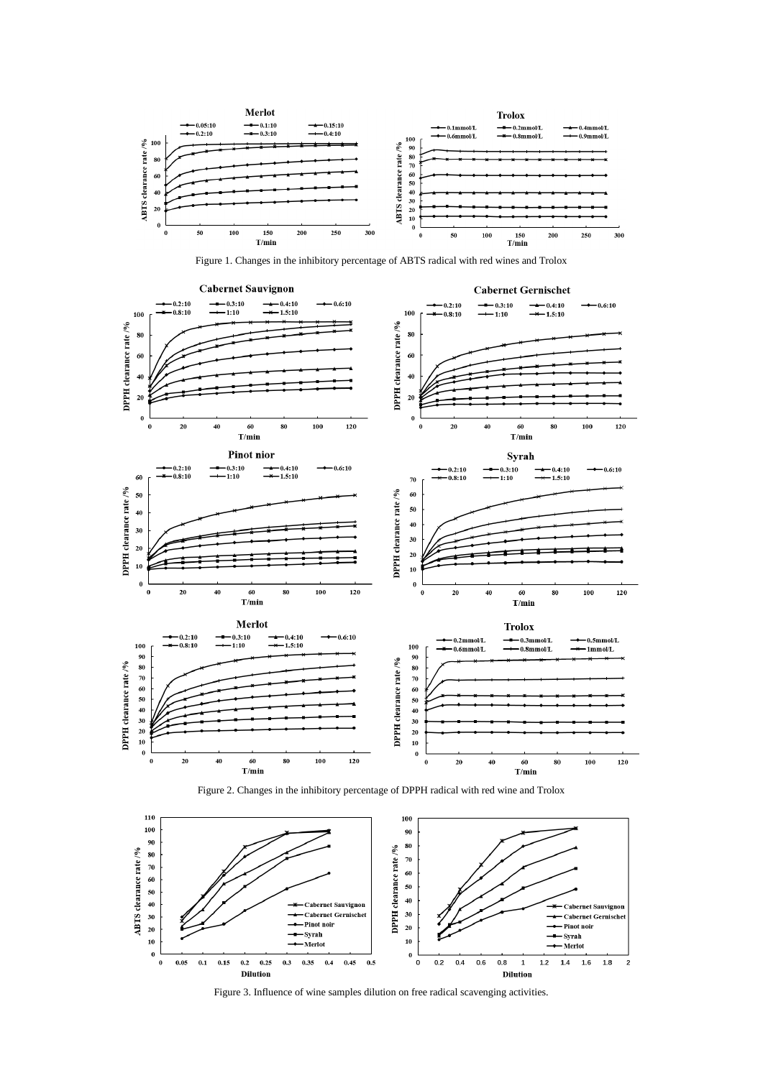

Figure 1. Changes in the inhibitory percentage of ABTS radical with red wines and Trolox



![](_page_6_Figure_3.jpeg)

![](_page_6_Figure_4.jpeg)

Figure 3. Influence of wine samples dilution on free radical scavenging activities.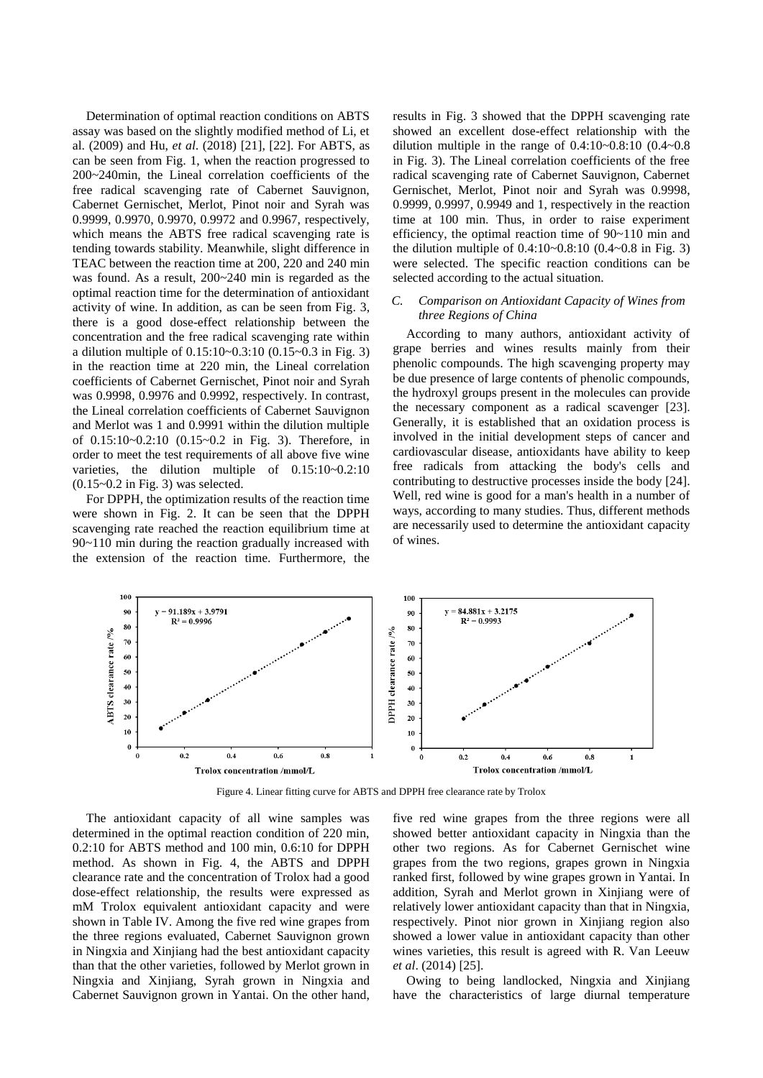Determination of optimal reaction conditions on ABTS assay was based on the slightly modified method of Li, et al. (2009) and Hu, *et al*. (2018) [21], [22]. For ABTS, as can be seen from Fig. 1, when the reaction progressed to 200~240min, the Lineal correlation coefficients of the free radical scavenging rate of Cabernet Sauvignon, Cabernet Gernischet, Merlot, Pinot noir and Syrah was 0.9999, 0.9970, 0.9970, 0.9972 and 0.9967, respectively, which means the ABTS free radical scavenging rate is tending towards stability. Meanwhile, slight difference in TEAC between the reaction time at 200, 220 and 240 min was found. As a result, 200~240 min is regarded as the optimal reaction time for the determination of antioxidant activity of wine. In addition, as can be seen from Fig. 3, there is a good dose-effect relationship between the concentration and the free radical scavenging rate within a dilution multiple of 0.15:10~0.3:10 (0.15~0.3 in Fig. 3) in the reaction time at 220 min, the Lineal correlation coefficients of Cabernet Gernischet, Pinot noir and Syrah was 0.9998, 0.9976 and 0.9992, respectively. In contrast, the Lineal correlation coefficients of Cabernet Sauvignon and Merlot was 1 and 0.9991 within the dilution multiple of 0.15:10~0.2:10 (0.15~0.2 in Fig. 3). Therefore, in order to meet the test requirements of all above five wine varieties, the dilution multiple of 0.15:10~0.2:10  $(0.15-0.2$  in Fig. 3) was selected.

For DPPH, the optimization results of the reaction time were shown in Fig. 2. It can be seen that the DPPH scavenging rate reached the reaction equilibrium time at 90~110 min during the reaction gradually increased with the extension of the reaction time. Furthermore, the results in Fig. 3 showed that the DPPH scavenging rate showed an excellent dose-effect relationship with the dilution multiple in the range of 0.4:10~0.8:10 (0.4~0.8 in Fig. 3). The Lineal correlation coefficients of the free radical scavenging rate of Cabernet Sauvignon, Cabernet Gernischet, Merlot, Pinot noir and Syrah was 0.9998, 0.9999, 0.9997, 0.9949 and 1, respectively in the reaction time at 100 min. Thus, in order to raise experiment efficiency, the optimal reaction time of 90~110 min and the dilution multiple of  $0.4:10-0.8:10$   $(0.4-0.8$  in Fig. 3) were selected. The specific reaction conditions can be selected according to the actual situation.

# *C. Comparison on Antioxidant Capacity of Wines from three Regions of China*

According to many authors, antioxidant activity of grape berries and wines results mainly from their phenolic compounds. The high scavenging property may be due presence of large contents of phenolic compounds, the hydroxyl groups present in the molecules can provide the necessary component as a radical scavenger [23]. Generally, it is established that an oxidation process is involved in the initial development steps of cancer and cardiovascular disease, antioxidants have ability to keep free radicals from attacking the body's cells and contributing to destructive processes inside the body [24]. Well, red wine is good for a man's health in a number of ways, according to many studies. Thus, different methods are necessarily used to determine the antioxidant capacity of wines.

![](_page_7_Figure_5.jpeg)

Figure 4. Linear fitting curve for ABTS and DPPH free clearance rate by Trolox

The antioxidant capacity of all wine samples was determined in the optimal reaction condition of 220 min, 0.2:10 for ABTS method and 100 min, 0.6:10 for DPPH method. As shown in Fig. 4, the ABTS and DPPH clearance rate and the concentration of Trolox had a good dose-effect relationship, the results were expressed as mM Trolox equivalent antioxidant capacity and were shown in Table IV. Among the five red wine grapes from the three regions evaluated, Cabernet Sauvignon grown in Ningxia and Xinjiang had the best antioxidant capacity than that the other varieties, followed by Merlot grown in Ningxia and Xinjiang, Syrah grown in Ningxia and Cabernet Sauvignon grown in Yantai. On the other hand,

five red wine grapes from the three regions were all showed better antioxidant capacity in Ningxia than the other two regions. As for Cabernet Gernischet wine grapes from the two regions, grapes grown in Ningxia ranked first, followed by wine grapes grown in Yantai. In addition, Syrah and Merlot grown in Xinjiang were of relatively lower antioxidant capacity than that in Ningxia, respectively. Pinot nior grown in Xinjiang region also showed a lower value in antioxidant capacity than other wines varieties, this result is agreed with R. Van Leeuw *et al*. (2014) [25].

Owing to being landlocked, Ningxia and Xinjiang have the characteristics of large diurnal temperature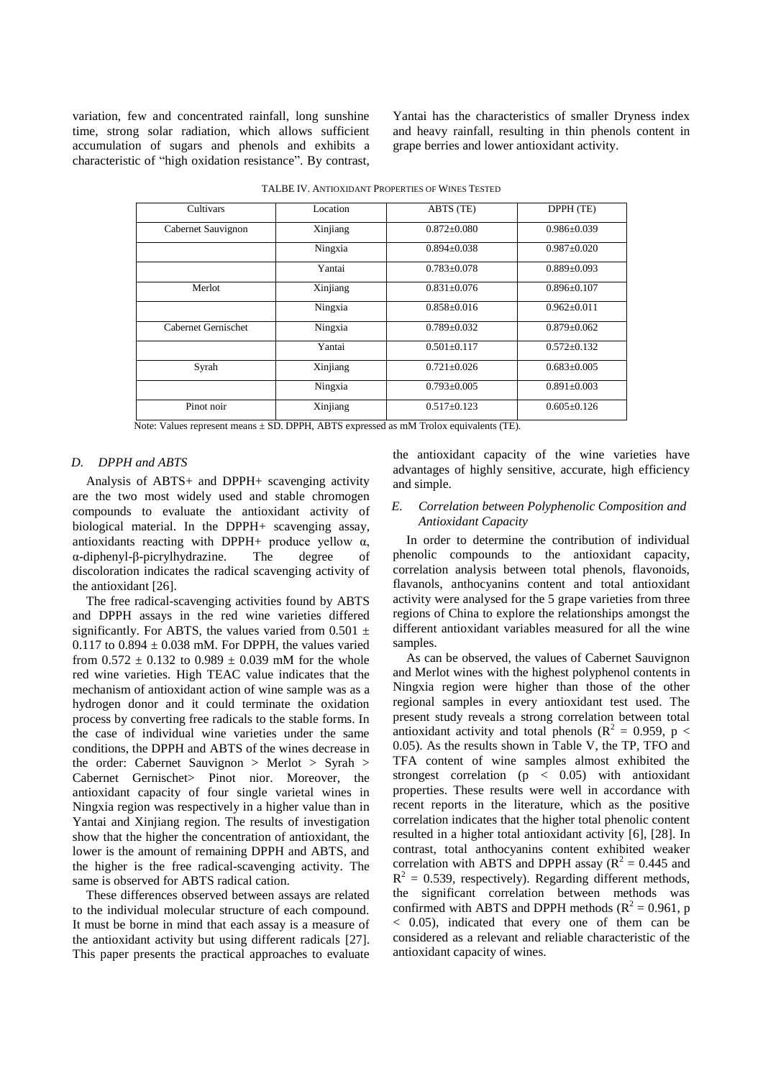variation, few and concentrated rainfall, long sunshine time, strong solar radiation, which allows sufficient accumulation of sugars and phenols and exhibits a characteristic of "high oxidation resistance". By contrast,

Yantai has the characteristics of smaller Dryness index and heavy rainfall, resulting in thin phenols content in grape berries and lower antioxidant activity.

| Cultivars           | Location | ABTS (TE)         | DPPH (TE)         |  |
|---------------------|----------|-------------------|-------------------|--|
| Cabernet Sauvignon  | Xinjiang | $0.872 + 0.080$   | $0.986 - 0.039$   |  |
|                     | Ningxia  | $0.894 + 0.038$   | $0.987 + 0.020$   |  |
|                     | Yantai   | $0.783 + 0.078$   | $0.889 + 0.093$   |  |
| Merlot              | Xinjiang | $0.831 + 0.076$   | $0.896 \pm 0.107$ |  |
|                     | Ningxia  | $0.858 + 0.016$   | $0.962 \pm 0.011$ |  |
| Cabernet Gernischet | Ningxia  | $0.789 + 0.032$   | $0.879 + 0.062$   |  |
|                     | Yantai   | $0.501 + 0.117$   | $0.572 + 0.132$   |  |
| Syrah               | Xinjiang | $0.721 + 0.026$   | $0.683 + 0.005$   |  |
|                     | Ningxia  | $0.793 \pm 0.005$ | $0.891 + 0.003$   |  |
| Pinot noir          | Xinjiang | $0.517 + 0.123$   | $0.605 + 0.126$   |  |

|  | TALBE IV. ANTIOXIDANT PROPERTIES OF WINES TESTED |
|--|--------------------------------------------------|
|--|--------------------------------------------------|

Note: Values represent means ± SD. DPPH, ABTS expressed as mM Trolox equivalents (TE).

#### *D. DPPH and ABTS*

Analysis of ABTS+ and DPPH+ scavenging activity are the two most widely used and stable chromogen compounds to evaluate the antioxidant activity of biological material. In the DPPH+ scavenging assay, antioxidants reacting with DPPH+ produce yellow  $\alpha$ , α-diphenyl-β-picrylhydrazine. The degree of discoloration indicates the radical scavenging activity of the antioxidant [26].

The free radical-scavenging activities found by ABTS and DPPH assays in the red wine varieties differed significantly. For ABTS, the values varied from  $0.501 \pm$ 0.117 to 0.894  $\pm$  0.038 mM. For DPPH, the values varied from  $0.572 \pm 0.132$  to  $0.989 \pm 0.039$  mM for the whole red wine varieties. High TEAC value indicates that the mechanism of antioxidant action of wine sample was as a hydrogen donor and it could terminate the oxidation process by converting free radicals to the stable forms. In the case of individual wine varieties under the same conditions, the DPPH and ABTS of the wines decrease in the order: Cabernet Sauvignon > Merlot > Syrah > Cabernet Gernischet> Pinot nior. Moreover, the antioxidant capacity of four single varietal wines in Ningxia region was respectively in a higher value than in Yantai and Xinjiang region. The results of investigation show that the higher the concentration of antioxidant, the lower is the amount of remaining DPPH and ABTS, and the higher is the free radical-scavenging activity. The same is observed for ABTS radical cation.

These differences observed between assays are related to the individual molecular structure of each compound. It must be borne in mind that each assay is a measure of the antioxidant activity but using different radicals [27]. This paper presents the practical approaches to evaluate

the antioxidant capacity of the wine varieties have advantages of highly sensitive, accurate, high efficiency and simple.

# *E. Correlation between Polyphenolic Composition and Antioxidant Capacity*

In order to determine the contribution of individual phenolic compounds to the antioxidant capacity, correlation analysis between total phenols, flavonoids, flavanols, anthocyanins content and total antioxidant activity were analysed for the 5 grape varieties from three regions of China to explore the relationships amongst the different antioxidant variables measured for all the wine samples.

As can be observed, the values of Cabernet Sauvignon and Merlot wines with the highest polyphenol contents in Ningxia region were higher than those of the other regional samples in every antioxidant test used. The present study reveals a strong correlation between total antioxidant activity and total phenols ( $\mathbb{R}^2 = 0.959$ , p < 0.05). As the results shown in Table V, the TP, TFO and TFA content of wine samples almost exhibited the strongest correlation ( $p \lt 0.05$ ) with antioxidant properties. These results were well in accordance with recent reports in the literature, which as the positive correlation indicates that the higher total phenolic content resulted in a higher total antioxidant activity [6], [28]. In contrast, total anthocyanins content exhibited weaker correlation with ABTS and DPPH assay ( $R^2 = 0.445$  and  $R<sup>2</sup> = 0.539$ , respectively). Regarding different methods, the significant correlation between methods was confirmed with ABTS and DPPH methods ( $R^2 = 0.961$ , p < 0.05), indicated that every one of them can be considered as a relevant and reliable characteristic of the antioxidant capacity of wines.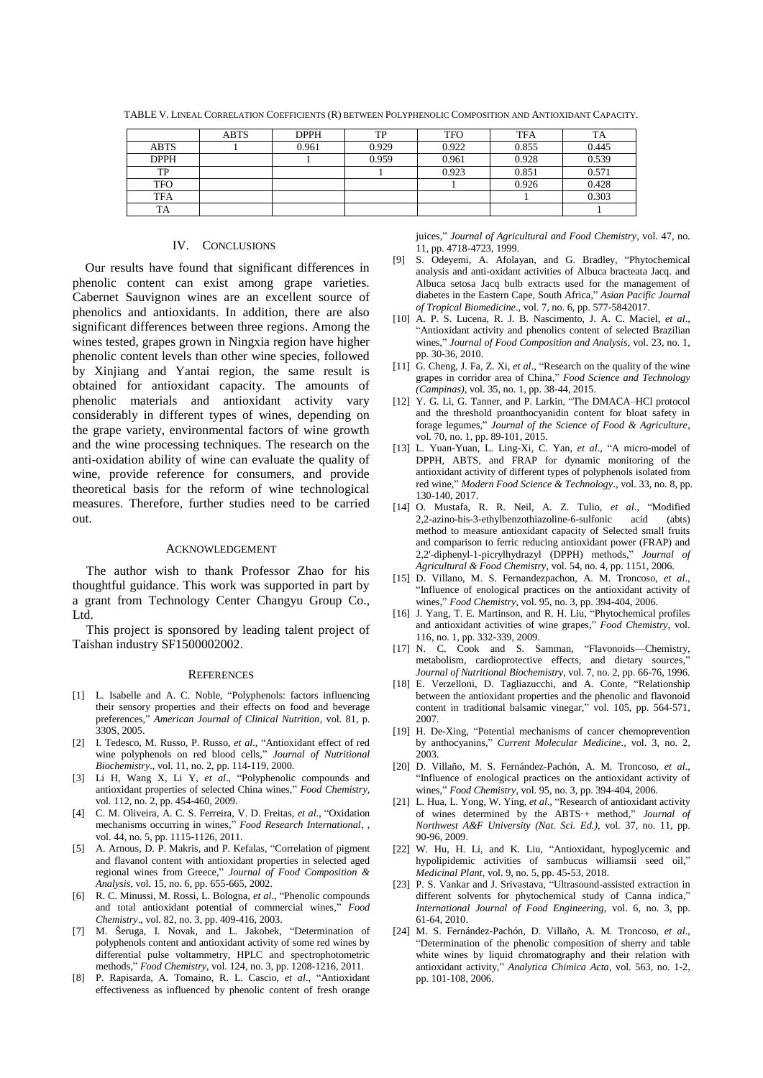|             | ABTS | <b>DPPH</b> | TP    | <b>TFO</b> | <b>TFA</b> | TA    |
|-------------|------|-------------|-------|------------|------------|-------|
| <b>ABTS</b> |      | 0.961       | 0.929 | 0.922      | 0.855      | 0.445 |
| <b>DPPH</b> |      |             | 0.959 | 0.961      | 0.928      | 0.539 |
| TP          |      |             |       | 0.923      | 0.851      | 0.571 |
| TFO         |      |             |       |            | 0.926      | 0.428 |
| <b>TFA</b>  |      |             |       |            |            | 0.303 |
| <b>TA</b>   |      |             |       |            |            |       |

TABLE V. LINEAL CORRELATION COEFFICIENTS (R) BETWEEN POLYPHENOLIC COMPOSITION AND ANTIOXIDANT CAPACITY.

# IV. CONCLUSIONS

Our results have found that significant differences in phenolic content can exist among grape varieties. Cabernet Sauvignon wines are an excellent source of phenolics and antioxidants. In addition, there are also significant differences between three regions. Among the wines tested, grapes grown in Ningxia region have higher phenolic content levels than other wine species, followed by Xinjiang and Yantai region, the same result is obtained for antioxidant capacity. The amounts of phenolic materials and antioxidant activity vary considerably in different types of wines, depending on the grape variety, environmental factors of wine growth and the wine processing techniques. The research on the anti-oxidation ability of wine can evaluate the quality of wine, provide reference for consumers, and provide theoretical basis for the reform of wine technological measures. Therefore, further studies need to be carried out.

#### ACKNOWLEDGEMENT

The author wish to thank Professor Zhao for his thoughtful guidance. This work was supported in part by a grant from Technology Center Changyu Group Co., Ltd.

This project is sponsored by leading talent project of Taishan industry SF1500002002.

#### **REFERENCES**

- [1] L. Isabelle and A. C. Noble, "Polyphenols: factors influencing their sensory properties and their effects on food and beverage preferences," *American Journal of Clinical Nutrition*, vol. 81, p. 330S, 2005.
- [2] I. Tedesco, M. Russo, P. Russo, *et al*., "Antioxidant effect of red wine polyphenols on red blood cells," *Journal of Nutritional Biochemistry*., vol. 11, no. 2, pp. 114-119, 2000.
- [3] Li H, Wang X, Li Y, *et al*., "Polyphenolic compounds and antioxidant properties of selected China wines," *Food Chemistry*, vol. 112, no. 2, pp. 454-460, 2009.
- [4] C. M. Oliveira, A. C. S. Ferreira, V. D. Freitas, *et al*., "Oxidation mechanisms occurring in wines," *Food Research International*, , vol. 44, no. 5, pp. 1115-1126, 2011.
- [5] A. Arnous, D. P. Makris, and P. Kefalas, "Correlation of pigment and flavanol content with antioxidant properties in selected aged regional wines from Greece," *Journal of Food Composition & Analysis*, vol. 15, no. 6, pp. 655-665, 2002.
- [6] R. C. Minussi, M. Rossi, L. Bologna, *et al*., "Phenolic compounds and total antioxidant potential of commercial wines," *Food Chemistry*., vol. 82, no. 3, pp. 409-416, 2003.
- [7] M. Šeruga, I. Novak, and L. Jakobek, "Determination of polyphenols content and antioxidant activity of some red wines by differential pulse voltammetry, HPLC and spectrophotometric methods," *Food Chemistry*, vol. 124, no. 3, pp. 1208-1216, 2011.
- [8] P. Rapisarda, A. Tomaino, R. L. Cascio, *et al*., "Antioxidant effectiveness as influenced by phenolic content of fresh orange

juices," *Journal of Agricultural and Food Chemistry*, vol. 47, no. 11, pp. 4718-4723, 1999.

- [9] S. Odeyemi, A. Afolayan, and G. Bradley, "Phytochemical analysis and anti-oxidant activities of Albuca bracteata Jacq. and Albuca setosa Jacq bulb extracts used for the management of diabetes in the Eastern Cape, South Africa," *Asian Pacific Journal of Tropical Biomedicine*., vol. 7, no. 6, pp. 577-5842017.
- [10] A. P. S. Lucena, R. J. B. Nascimento, J. A. C. Maciel, *et al*., "Antioxidant activity and phenolics content of selected Brazilian wines," *Journal of Food Composition and Analysis*, vol. 23, no. 1, pp. 30-36, 2010.
- [11] G. Cheng, J. Fa, Z. Xi, *et al*., "Research on the quality of the wine grapes in corridor area of China," *Food Science and Technology (Campinas)*, vol. 35, no. 1, pp. 38-44, 2015.
- [12] Y. G. Li, G. Tanner, and P. Larkin, "The DMACA–HCl protocol and the threshold proanthocyanidin content for bloat safety in forage legumes," *Journal of the Science of Food & Agriculture*, vol. 70, no. 1, pp. 89-101, 2015.
- [13] L. Yuan-Yuan, L. Ling-Xi, C. Yan, *et al*., "A micro-model of DPPH, ABTS, and FRAP for dynamic monitoring of the antioxidant activity of different types of polyphenols isolated from red wine," *Modern Food Science & Technology*., vol. 33, no. 8, pp. 130-140, 2017.
- [14] O. Mustafa, R. R. Neil, A. Z. Tulio, *et al*., "Modified 2,2-azino-bis-3-ethylbenzothiazoline-6-sulfonic acid (abts) method to measure antioxidant capacity of Selected small fruits and comparison to ferric reducing antioxidant power (FRAP) and 2,2'-diphenyl-1-picrylhydrazyl (DPPH) methods," *Journal of Agricultural & Food Chemistry*, vol. 54, no. 4, pp. 1151, 2006.
- [15] D. Villano, M. S. Fernandezpachon, A. M. Troncoso, *et al*., "Influence of enological practices on the antioxidant activity of wines," *Food Chemistry*, vol. 95, no. 3, pp. 394-404, 2006.
- [16] J. Yang, T. E. Martinson, and R. H. Liu, "Phytochemical profiles and antioxidant activities of wine grapes," *Food Chemistry*, vol. 116, no. 1, pp. 332-339, 2009.
- [17] N. C. Cook and S. Samman, "Flavonoids—Chemistry, metabolism, cardioprotective effects, and dietary sources, *Journal of Nutritional Biochemistry*, vol. 7, no. 2, pp. 66-76, 1996.
- [18] E. Verzelloni, D. Tagliazucchi, and A. Conte, "Relationship between the antioxidant properties and the phenolic and flavonoid content in traditional balsamic vinegar," vol. 105, pp. 564-571, 2007.
- [19] H. De-Xing, "Potential mechanisms of cancer chemoprevention by anthocyanins," *Current Molecular Medicine*., vol. 3, no. 2, 2003.
- [20] D. Villaño, M. S. Fernández-Pachón, A. M. Troncoso, *et al*., "Influence of enological practices on the antioxidant activity of wines," *Food Chemistry*, vol. 95, no. 3, pp. 394-404, 2006.
- [21] L. Hua, L. Yong, W. Ying, *et al*., "Research of antioxidant activity of wines determined by the ABTS + method," *Journal of Northwest A&F University (Nat. Sci. Ed.)*, vol. 37, no. 11, pp. 90-96, 2009.
- [22] W. Hu, H. Li, and K. Liu, "Antioxidant, hypoglycemic and hypolipidemic activities of sambucus williamsii seed oil," *Medicinal Plant*, vol. 9, no. 5, pp. 45-53, 2018.
- [23] P. S. Vankar and J. Srivastava, "Ultrasound-assisted extraction in different solvents for phytochemical study of Canna indica," *International Journal of Food Engineering*, vol. 6, no. 3, pp. 61-64, 2010.
- [24] M. S. Fernández-Pachón, D. Villaño, A. M. Troncoso, *et al*., "Determination of the phenolic composition of sherry and table white wines by liquid chromatography and their relation with antioxidant activity," *Analytica Chimica Acta*, vol. 563, no. 1-2, pp. 101-108, 2006.